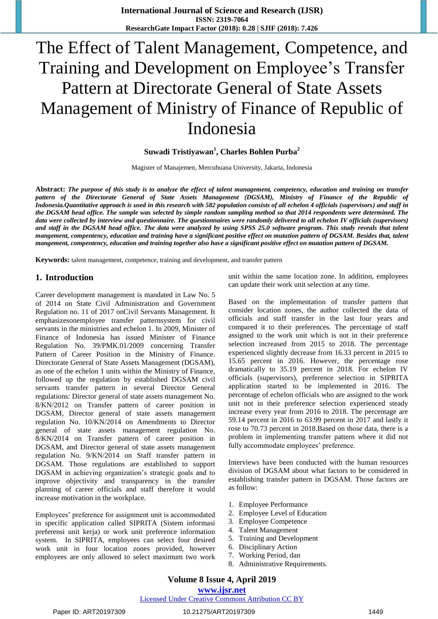# The Effect of Talent Management, Competence, and Training and Development on Employee's Transfer Pattern at Directorate General of State Assets Management of Ministry of Finance of Republic of Indonesia

# **Suwadi Tristiyawan<sup>1</sup> , Charles Bohlen Purba<sup>2</sup>**

Magister of Manajemen, Mercubuana University, Jakarta, Indonesia

**Abstract:** *The purpose of this study is to analyze the effect of talent management, competency, education and training on transfer*  pattern of the Directorate General of State Assets Management (DGSAM), Ministry of Finance of the Republic of *Indonesia.Quantitative approach is used in this research with 582 population consists of all echelon 4 officials (supervisors) and staff in the DGSAM head office. The sample was selected by simple random sampling method so that 2014 respondents were determined. The data were collected by interview and questionnaire. The questionnaires were randomly delivered to all echelon IV officials (supervisors) and staff in the DGSAM head office. The data were analyzed by using SPSS 25.0 software program. This study reveals that talent mangement, compentency, education and training have a significant positive effect on mutation pattern of DGSAM. Besides that, talent mangement, compentency, education and training together also have a significant positive effect on mutation pattern of DGSAM.* 

**Keywords:** talent management, competence, training and development, and transfer pattern

### **1. Introduction**

Career development management is mandated in Law No. 5 of 2014 on State Civil Administration and Government Regulation no. 11 of 2017 onCivil Servants Management. It emphasizesonemployee transfer patternsystem for civil servants in the ministries and echelon 1. In 2009, Minister of Finance of Indonesia has issued Minister of Finance Regulation No. 39/PMK.01/2009 concerning Transfer Pattern of Career Position in the Ministry of Finance. Directorate General of State Assets Management (DGSAM), as one of the echelon 1 units within the Ministry of Finance, followed up the regulation by established DGSAM civil servants transfer pattern in several Director General regulations: Director general of state assets management No. 8/KN/2012 on Transfer pattern of career position in DGSAM, Director general of state assets management regulation No. 10/KN/2014 on Amendments to Director general of state assets management regulation No. 8/KN/2014 on Transfer pattern of career position in DGSAM, and Director general of state assets management regulation No. 9/KN/2014 on Staff transfer pattern in DGSAM. Those regulations are established to support DGSAM in achieving organization's strategic goals and to improve objectivity and transparency in the transfer planning of career officials and staff therefore it would increase motivation in the workplace.

Employees' preference for assignment unit is accommodated in specific application called SIPRITA (Sistem informasi preferensi unit kerja) or work unit preference information system. In SIPRITA, employees can select four desired work unit in four location zones provided, however employees are only allowed to select maximum two work

unit within the same location zone. In addition, employees can update their work unit selection at any time.

Based on the implementation of transfer pattern that consider location zones, the author collected the data of officials and staff transfer in the last four years and compared it to their preferences. The percentage of staff assigned to the work unit which is not in their preference selection increased from 2015 to 2018. The percentage experienced slightly decrease from 16.33 percent in 2015 to 15.65 percent in 2016. However, the percentage rose dramatically to 35.19 percent in 2018. For echelon IV officials (supervisors), preference selection in SIPRITA application started to be implemented in 2016. The percentage of echelon officials who are assigned to the work unit not in their preference selection experienced steady increase every year from 2016 to 2018. The percentage are 59.14 percent in 2016 to 63.99 percent in 2017 and lastly it rose to 70.73 percent in 2018.Based on those data, there is a problem in implementing transfer pattern where it did not fully accommodate employees' preference.

Interviews have been conducted with the human resources division of DGSAM about what factors to be considered in establishing transfer pattern in DGSAM. Those factors are as follow:

- 1. Employee Performance
- 2. Employee Level of Education
- 3. Employee Competence
- 4. Talent Management
- 5. Training and Development
- 6. Disciplinary Action
- 7. Working Period, dan
- 8. Administrative Requirements.

**www.ijsr.net**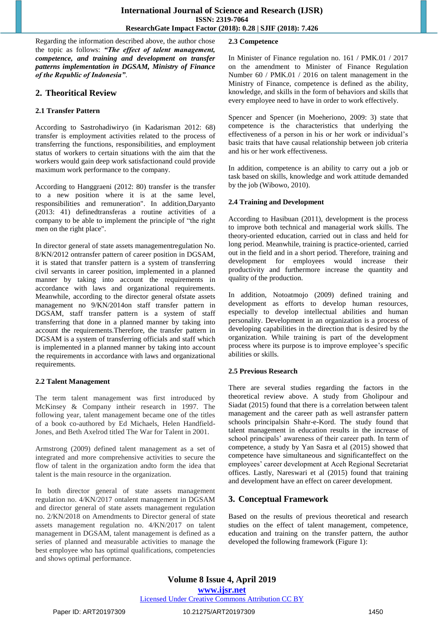Regarding the information described above, the author chose the topic as follows: *"The effect of talent management, competence, and training and development on transfer patterns implementation in DGSAM, Ministry of Finance of the Republic of Indonesia"*.

# **2. Theoritical Review**

#### **2.1 Transfer Pattern**

According to Sastrohadiwiryo (in Kadarisman 2012: 68) transfer is employment activities related to the process of transferring the functions, responsibilities, and employment status of workers to certain situations with the aim that the workers would gain deep work satisfactionand could provide maximum work performance to the company.

According to Hanggraeni (2012: 80) transfer is the transfer to a new position where it is at the same level, responsibilities and remuneration". In addition,Daryanto (2013: 41) definedtransferas a routine activities of a company to be able to implement the principle of "the right men on the right place".

In director general of state assets managementregulation No. 8/KN/2012 ontransfer pattern of career position in DGSAM, it is stated that transfer pattern is a system of transferring civil servants in career position, implemented in a planned manner by taking into account the requirements in accordance with laws and organizational requirements. Meanwhile, according to the director general ofstate assets management no 9/KN/2014on staff transfer pattern in DGSAM, staff transfer pattern is a system of staff transferring that done in a planned manner by taking into account the requirements.Therefore, the transfer pattern in DGSAM is a system of transferring officials and staff which is implemented in a planned manner by taking into account the requirements in accordance with laws and organizational requirements.

#### **2.2 Talent Management**

The term talent management was first introduced by McKinsey & Company intheir research in 1997. The following year, talent management became one of the titles of a book co-authored by Ed Michaels, Helen Handfield-Jones, and Beth Axelrod titled The War for Talent in 2001.

Armstrong (2009) defined talent management as a set of integrated and more comprehensive activities to secure the flow of talent in the organization andto form the idea that talent is the main resource in the organization.

In both director general of state assets management regulation no. 4/KN/2017 ontalent management in DGSAM and director general of state assets management regulation no. 2/KN/2018 on Amendments to Director general of state assets management regulation no. 4/KN/2017 on talent management in DGSAM, talent management is defined as a series of planned and measurable activities to manage the best employee who has optimal qualifications, competencies and shows optimal performance.

#### **2.3 Competence**

In Minister of Finance regulation no. 161 / PMK.01 / 2017 on the amendment to Minister of Finance Regulation Number 60 / PMK.01 / 2016 on talent management in the Ministry of Finance, competence is defined as the ability, knowledge, and skills in the form of behaviors and skills that every employee need to have in order to work effectively.

Spencer and Spencer (in Moeheriono, 2009: 3) state that competence is the characteristics that underlying the effectiveness of a person in his or her work or individual's basic traits that have causal relationship between job criteria and his or her work effectiveness.

In addition, competence is an ability to carry out a job or task based on skills, knowledge and work attitude demanded by the job (Wibowo, 2010).

#### **2.4 Training and Development**

According to Hasibuan (2011), development is the process to improve both technical and managerial work skills. The theory-oriented education, carried out in class and held for long period. Meanwhile, training is practice-oriented, carried out in the field and in a short period. Therefore, training and development for employees would increase their productivity and furthermore increase the quantity and quality of the production.

In addition, Notoatmojo (2009) defined training and development as efforts to develop human resources, especially to develop intellectual abilities and human personality. Development in an organization is a process of developing capabilities in the direction that is desired by the organization. While training is part of the development process where its purpose is to improve employee's specific abilities or skills.

### **2.5 Previous Research**

There are several studies regarding the factors in the theoretical review above. A study from Gholipour and Siadat (2015) found that there is a correlation between talent management and the career path as well astransfer pattern schools principalsin Shahr-e-Kord. The study found that talent management in education results in the increase of school principals' awareness of their career path. In term of competence, a study by Yan Sasra et al (2015) showed that competence have simultaneous and significanteffect on the employees' career development at Aceh Regional Secretariat offices. Lastly, Nareswari et al (2015) found that training and development have an effect on career development.

# **3. Conceptual Framework**

Based on the results of previous theoretical and research studies on the effect of talent management, competence, education and training on the transfer pattern, the author developed the following framework (Figure 1):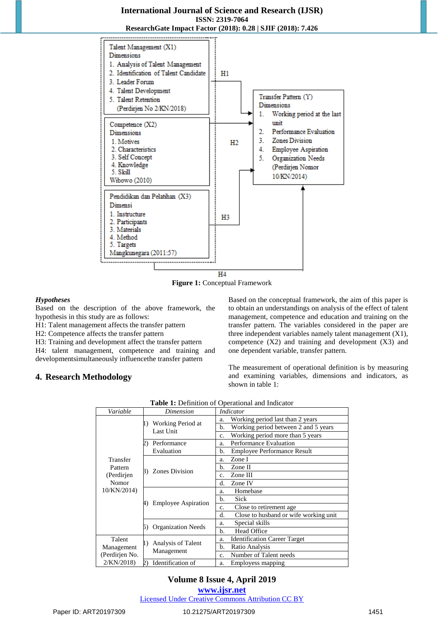

**Figure 1:** Conceptual Framework

#### *Hypotheses*

Based on the description of the above framework, the hypothesis in this study are as follows:

H1: Talent management affects the transfer pattern

H2: Competence affects the transfer pattern

H3: Training and development affect the transfer pattern H4: talent management, competence and training and developmentsimultaneously influencethe transfer pattern

### **4. Research Methodology**

Based on the conceptual framework, the aim of this paper is to obtain an understandings on analysis of the effect of talent management, competence and education and training on the transfer pattern. The variables considered in the paper are three independent variables namely talent management (X1), competence (X2) and training and development (X3) and one dependent variable, transfer pattern.

The measurement of operational definition is by measuring and examining variables, dimensions and indicators, as shown in table 1:

| Variable                     | Dimension                              | <i>Indicator</i>                                |
|------------------------------|----------------------------------------|-------------------------------------------------|
|                              |                                        | Working period last than 2 years<br>a.          |
|                              | Working Period at<br>Last Unit         | Working period between 2 and 5 years<br>b.      |
|                              |                                        | Working period more than 5 years<br>$C_{\star}$ |
|                              | Performance                            | <b>Performance Evaluation</b><br>a.             |
|                              | Evaluation                             | <b>Employee Performance Result</b><br>b.        |
| Transfer<br>Pattern          |                                        | Zone I<br>a.                                    |
|                              | <b>Zones Division</b>                  | b.<br>Zone II                                   |
| (Perdirjen                   | B)                                     | Zone III<br>$\mathbf{c}$ .                      |
| Nomor                        |                                        | Zone IV<br>d.                                   |
| 10/KN/2014)                  |                                        | Homebase<br>a.                                  |
|                              | <b>Employee Aspiration</b>             | Sick<br>b.                                      |
|                              |                                        | Close to retirement age.<br>c.                  |
|                              |                                        | Close to husband or wife working unit<br>d.     |
|                              | <b>Organization Needs</b>              | Special skills<br>a.                            |
|                              |                                        | <b>Head Office</b><br>b.                        |
| Talent                       |                                        | <b>Identification Career Target</b><br>a.       |
| Management<br>(Perdirjen No. | Analysis of Talent<br>I)<br>Management | Ratio Analysis<br>b.                            |
|                              |                                        | Number of Talent needs<br>C <sub>1</sub>        |
| 2/KN/2018)                   | Identification of<br>2)                | Employess mapping<br>a.                         |

**Table 1:** Definition of Operational and Indicator

# **Volume 8 Issue 4, April 2019**

**www.ijsr.net**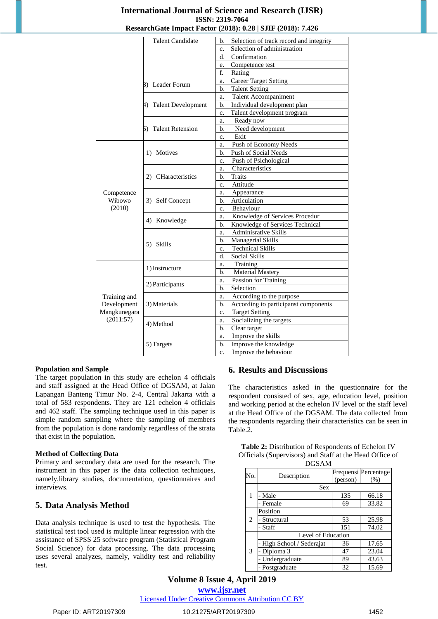|                      |                         | ResearchGate Impact Pactor (2018); 0.28   SJIP (2018); 7.420 |
|----------------------|-------------------------|--------------------------------------------------------------|
|                      | <b>Talent Candidate</b> | Selection of track record and integrity<br>b.                |
|                      |                         | Selection of administration<br>c.                            |
|                      |                         | Confirmation<br>d.                                           |
|                      |                         | Competence test<br>e.                                        |
|                      |                         | f.<br>Rating                                                 |
|                      |                         | <b>Career Target Setting</b><br>a.                           |
|                      | 3) Leader Forum         | <b>Talent Setting</b><br>b.                                  |
|                      |                         | <b>Talent Accompaniment</b><br>a.                            |
|                      | 4) Talent Development   | Individual development plan<br>b.                            |
|                      |                         | Talent development program<br>c.                             |
|                      |                         | Ready now<br>a.                                              |
|                      | 5) Talent Retension     | Need development<br>b.                                       |
|                      |                         | Exit<br>c.                                                   |
|                      |                         | Push of Economy Needs<br>a.                                  |
|                      | 1) Motives              | Push of Social Needs<br>b.                                   |
|                      |                         | Push of Psichological<br>c.                                  |
|                      |                         | Characteristics<br>a.                                        |
|                      | 2) CHaracteristics      | <b>Traits</b><br>b.                                          |
|                      |                         | Attitude<br>c.                                               |
| Competence<br>Wibowo | 3) Self Concept         | Appearance<br>a.                                             |
|                      |                         | Articulation<br>b.                                           |
| (2010)               |                         | Behaviour<br>c.                                              |
|                      | 4) Knowledge            | Knowledge of Services Procedur<br>a.                         |
|                      |                         | Knowledge of Services Technical<br>b.                        |
|                      |                         | Adminisrative Skills<br>a.                                   |
|                      |                         | Managerial Skills<br>b.                                      |
|                      | 5) Skills               | <b>Technical Skills</b><br>c.                                |
|                      |                         | Social Skills<br>d.                                          |
|                      |                         | Training<br>a.                                               |
|                      | 1) Instructure          | <b>Material Mastery</b><br>b.                                |
|                      |                         | Passion for Training<br>a.                                   |
|                      | 2) Participants         | Selection<br>b.                                              |
| Training and         |                         | According to the purpose<br>a.                               |
| Development          | 3) Materials            | b.<br>According to participanst components                   |
| Mangkunegara         |                         | <b>Target Setting</b><br>c.                                  |
| (2011:57)            |                         | Socializing the targets<br>a.                                |
|                      | 4) Method               | Clear target<br>b.                                           |
|                      |                         | Improve the skills<br>a.                                     |
|                      | 5) Targets              | Improve the knowledge<br>b.                                  |
|                      |                         | Improve the behaviour<br>c.                                  |

#### **Population and Sample**

The target population in this study are echelon 4 officials and staff assigned at the Head Office of DGSAM, at Jalan Lapangan Banteng Timur No. 2-4, Central Jakarta with a total of 583 respondents. They are 121 echelon 4 officials and 462 staff. The sampling technique used in this paper is simple random sampling where the sampling of members from the population is done randomly regardless of the strata that exist in the population.

#### **Method of Collecting Data**

Primary and secondary data are used for the research. The instrument in this paper is the data collection techniques, namely,library studies, documentation, questionnaires and interviews.

### **5. Data Analysis Method**

Data analysis technique is used to test the hypothesis. The statistical test tool used is multiple linear regression with the assistance of SPSS 25 software program (Statistical Program Social Science) for data processing. The data processing uses several analyzes, namely, validity test and reliability test.

#### **6. Results and Discussions**

The characteristics asked in the questionnaire for the respondent consisted of sex, age, education level, position and working period at the echelon IV level or the staff level at the Head Office of the DGSAM. The data collected from the respondents regarding their characteristics can be seen in Table.2.

| <b>Table 2:</b> Distribution of Respondents of Echelon IV |
|-----------------------------------------------------------|
| Officials (Supervisors) and Staff at the Head Office of   |
| DGS AM                                                    |

|     | DUDAM                     |          |                              |  |  |  |
|-----|---------------------------|----------|------------------------------|--|--|--|
| No. | Description               | (person) | Frequensi Percentage<br>(% ) |  |  |  |
|     | <b>Sex</b>                |          |                              |  |  |  |
| 1   | Male                      | 135      | 66.18                        |  |  |  |
|     | - Female                  | 69       | 33.82                        |  |  |  |
|     | Position                  |          |                              |  |  |  |
| 2   | Structural                | 53       | 25.98                        |  |  |  |
|     | - Staff                   | 151      | 74.02                        |  |  |  |
|     | Level of Education        |          |                              |  |  |  |
|     | - High School / Sederajat | 36       | 17.65                        |  |  |  |
| 3   | Diploma <sub>3</sub>      | 47       | 23.04                        |  |  |  |
|     | Undergraduate             | 89       | 43.63                        |  |  |  |
|     | - Postgraduate            | 32       | 15.69                        |  |  |  |

# **Volume 8 Issue 4, April 2019**

**www.ijsr.net**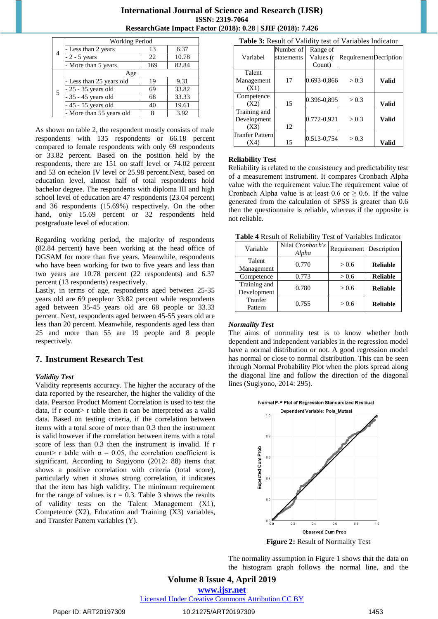|   | <b>Working Period</b>    |     |       |  |  |
|---|--------------------------|-----|-------|--|--|
| 4 | - Less than 2 years      | 13  | 6.37  |  |  |
|   | $-2 - 5$ years           | 22  | 10.78 |  |  |
|   | - More than 5 years      | 169 | 82.84 |  |  |
|   | Age                      |     |       |  |  |
|   | - Less than 25 years old | 19  | 9.31  |  |  |
|   | $-25 - 35$ years old     | 69  | 33.82 |  |  |
| 5 | $-35 - 45$ years old     | 68  | 33.33 |  |  |
|   | - 45 - 55 years old      | 40  | 19.61 |  |  |
|   | - More than 55 years old |     | 3.92  |  |  |

As shown on table 2, the respondent mostly consists of male respondents with 135 respondents or 66.18 percent compared to female respondents with only 69 respondents or 33.82 percent. Based on the position held by the respondents, there are 151 on staff level or 74.02 percent and 53 on echelon IV level or 25.98 percent.Next, based on education level, almost half of total respondents hold bachelor degree. The respondents with diploma III and high school level of education are 47 respondents (23.04 percent) and 36 respondents (15.69%) respectively. On the other hand, only 15.69 percent or 32 respondents held postgraduate level of education.

Regarding working period, the majority of respondents (82.84 percent) have been working at the head office of DGSAM for more than five years. Meanwhile, respondents who have been working for two to five years and less than two years are 10.78 percent (22 respondents) and 6.37 percent (13 respondents) respectively.

Lastly, in terms of age, respondents aged between 25-35 years old are 69 peopleor 33.82 percent while respondents aged between 35-45 years old are 68 people or 33.33 percent. Next, respondents aged between 45-55 years old are less than 20 percent. Meanwhile, respondents aged less than 25 and more than 55 are 19 people and 8 people respectively.

### **7. Instrument Research Test**

#### *Validity Test*

Validity represents accuracy. The higher the accuracy of the data reported by the researcher, the higher the validity of the data. Pearson Product Moment Correlation is used to test the data, if r count> r table then it can be interpreted as a valid data. Based on testing criteria, if the correlation between items with a total score of more than 0.3 then the instrument is valid however if the correlation between items with a total score of less than 0.3 then the instrument is invalid. If r count> r table with  $\alpha = 0.05$ , the correlation coefficient is significant. According to Sugiyono (2012: 88) items that shows a positive correlation with criteria (total score), particularly when it shows strong correlation, it indicates that the item has high validity. The minimum requirement for the range of values is  $r = 0.3$ . Table 3 shows the results of validity tests on the Talent Management (X1), Competence (X2), Education and Training (X3) variables, and Transfer Pattern variables (Y).

| Table 3: Result of Validity test of Variables Indicator |                         |                       |                        |              |  |
|---------------------------------------------------------|-------------------------|-----------------------|------------------------|--------------|--|
| Variabel                                                | Number of<br>statements | Range of<br>Values (r | Requirement Decription |              |  |
|                                                         |                         | Count)                |                        |              |  |
| Talent                                                  |                         |                       |                        |              |  |
| Management                                              | 17                      | 0.693-0,866           | > 0.3                  | Valid        |  |
| (X1)                                                    |                         |                       |                        |              |  |
| Competence                                              |                         | 0.396-0,895           | > 0.3                  |              |  |
| (X2)                                                    | 15                      |                       |                        | <b>Valid</b> |  |
| Training and                                            |                         |                       |                        |              |  |
| Development                                             |                         | 0.772-0,921           | > 0.3                  | Valid        |  |
| (X3)                                                    | 12                      |                       |                        |              |  |
| Tranfer Pattern                                         |                         | 0.513-0,754           | > 0.3                  |              |  |
| (X4)                                                    | 15                      |                       |                        | Valid        |  |

#### **Reliability Test**

Reliability is related to the consistency and predictability test of a measurement instrument. It compares Cronbach Alpha value with the requirement value.The requirement value of Cronbach Alpha value is at least 0.6 or  $\geq$  0.6. If the value generated from the calculation of SPSS is greater than 0.6 then the questionnaire is reliable, whereas if the opposite is not reliable.

**Table 4** Result of Reliability Test of Variables Indicator

| Variable                    | Nilai Cronbach's<br>Alpha | Requirement Description |                 |
|-----------------------------|---------------------------|-------------------------|-----------------|
| Talent<br>Management        | 0.770                     | > 0.6                   | <b>Reliable</b> |
| Competence                  | 0.773                     | > 0.6                   | <b>Reliable</b> |
| Training and<br>Development | 0.780                     | > 0.6                   | <b>Reliable</b> |
| Tranfer<br>Pattern          | 0.755                     | > 0.6                   | <b>Reliable</b> |

#### *Normality Test*

The aims of normality test is to know whether both dependent and independent variables in the regression model have a normal distribution or not. A good regression model has normal or close to normal distribution. This can be seen through Normal Probability Plot when the plots spread along the diagonal line and follow the direction of the diagonal lines (Sugiyono, 2014: 295).



**Figure 2:** Result of Normality Test

The normality assumption in Figure 1 shows that the data on the histogram graph follows the normal line, and the

**Volume 8 Issue 4, April 2019 www.ijsr.net**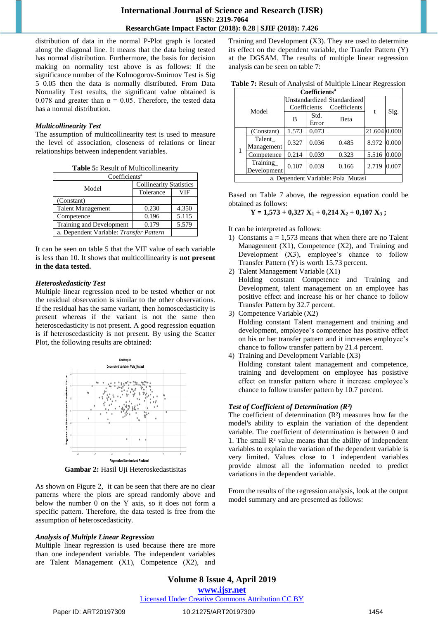distribution of data in the normal P-Plot graph is located along the diagonal line. It means that the data being tested has normal distribution. Furthermore, the basis for decision making on normality test above is as follows: If the significance number of the Kolmogorov-Smirnov Test is Sig 5 0.05 then the data is normally distributed. From Data Normality Test results, the significant value obtained is 0.078 and greater than  $\alpha = 0.05$ . Therefore, the tested data has a normal distribution.

#### *Multicollinearity Test*

The assumption of multicollinearity test is used to measure the level of association, closeness of relations or linear relationships between independent variables.

|  | Table 5: Result of Multicollinearity |  |
|--|--------------------------------------|--|
|  |                                      |  |

| Coefficients <sup>a</sup>               |                                |       |  |  |  |
|-----------------------------------------|--------------------------------|-------|--|--|--|
| Model                                   | <b>Collinearity Statistics</b> |       |  |  |  |
|                                         | Tolerance                      | VIF   |  |  |  |
| (Constant)                              |                                |       |  |  |  |
| <b>Talent Management</b>                | 0.230                          | 4.350 |  |  |  |
| Competence                              | 0.196                          | 5.115 |  |  |  |
| Training and Development                | 0.179                          | 5.579 |  |  |  |
| a. Dependent Variable: Transfer Pattern |                                |       |  |  |  |

It can be seen on table 5 that the VIF value of each variable is less than 10. It shows that multicollinearity is **not present in the data tested.**

#### *Heteroskedasticity Test*

Multiple linear regression need to be tested whether or not the residual observation is similar to the other observations. If the residual has the same variant, then homoscedasticity is present whereas if the variant is not the same then heteroscedasticity is not present. A good regression equation is if heteroscedasticity is not present. By using the Scatter Plot, the following results are obtained:



**Gambar 2:** Hasil Uji Heteroskedastisitas

As shown on Figure 2, it can be seen that there are no clear patterns where the plots are spread randomly above and below the number 0 on the Y axis, so it does not form a specific pattern. Therefore, the data tested is free from the assumption of heteroscedasticity.

### *Analysis of Multiple Linear Regression*

Multiple linear regression is used because there are more than one independent variable. The independent variables are Talent Management (X1), Competence (X2), and Training and Development (X3). They are used to determine its effect on the dependent variable, the Tranfer Pattern (Y) at the DGSAM. The results of multiple linear regression analysis can be seen on table 7:

|  |  |  |  |  | Table 7: Result of Analysisi of Multiple Linear Regression |
|--|--|--|--|--|------------------------------------------------------------|
|--|--|--|--|--|------------------------------------------------------------|

| Coefficients <sup>a</sup>          |                         |                                             |               |              |              |       |
|------------------------------------|-------------------------|---------------------------------------------|---------------|--------------|--------------|-------|
|                                    |                         | Unstandardized Standardized<br>Coefficients |               | Coefficients |              |       |
|                                    | Model                   | B                                           | Std.<br>Error | Beta         | t            | Sig.  |
|                                    | (Constant)              | 1.573                                       | 0.073         |              | 21.604 0.000 |       |
|                                    | Talent<br>Management    | 0.327                                       | 0.036         | 0.485        | 8.972 0.000  |       |
|                                    | Competence              | 0.214                                       | 0.039         | 0.323        | 5.516        | 0.000 |
|                                    | Training<br>Development | 0.107                                       | 0.039         | 0.166        | 2.719        | 0.007 |
| a. Dependent Variable: Pola_Mutasi |                         |                                             |               |              |              |       |

Based on Table 7 above, the regression equation could be obtained as follows:

#### $Y = 1,573 + 0,327$   $X_1 + 0,214$   $X_2 + 0,107$   $X_3$ ;

It can be interpreted as follows:

- 1) Constants  $a = 1,573$  means that when there are no Talent Management (X1), Competence (X2), and Training and Development (X3), employee's chance to follow Transfer Pattern (Y) is worth 15.73 percent.
- 2) Talent Management Variable (X1)

Holding constant Competence and Training and Development, talent management on an employee has positive effect and increase his or her chance to follow Transfer Pattern by 32.7 percent.

3) Competence Variable (X2) Holding constant Talent management and training and development, employee's competence has positive effect on his or her transfer pattern and it increases employee's chance to follow transfer pattern by 21.4 percent.

4) Training and Development Variable (X3) Holding constant talent management and competence, training and development on employee has posistive effect on transfer pattern where it increase employee's chance to follow transfer pattern by 10.7 percent.

### *Test of Coefficient of Determination (R²)*

The coefficient of determination  $(R<sup>2</sup>)$  measures how far the model's ability to explain the variation of the dependent variable. The coefficient of determination is between 0 and 1. The small R² value means that the ability of independent variables to explain the variation of the dependent variable is very limited. Values close to 1 independent variables provide almost all the information needed to predict variations in the dependent variable.

From the results of the regression analysis, look at the output model summary and are presented as follows:

# **Volume 8 Issue 4, April 2019 www.ijsr.net** Licensed Under Creative Commons Attribution CC BY

Paper ID: ART20197309 10.21275/ART20197309 1454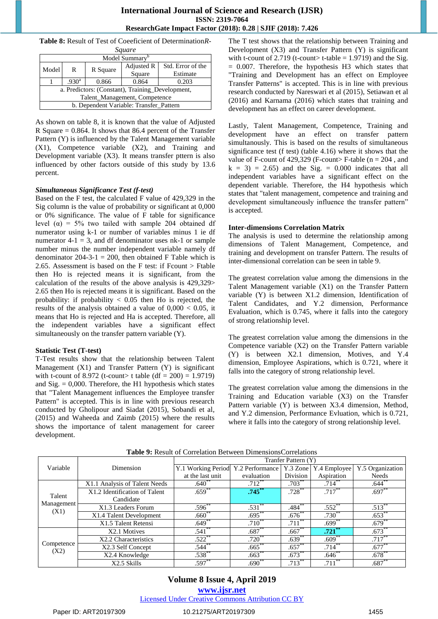| <b>Table 8:</b> Result of Test of Coeeficient of Determination R- |  |
|-------------------------------------------------------------------|--|
| $\mathbf{C}$ associated                                           |  |

| square                                           |                   |          |            |                   |  |  |  |  |
|--------------------------------------------------|-------------------|----------|------------|-------------------|--|--|--|--|
| Model Summary                                    |                   |          |            |                   |  |  |  |  |
| Model                                            | R                 | R Square | Adjusted R | Std. Error of the |  |  |  |  |
|                                                  |                   |          | Square     | Estimate          |  |  |  |  |
|                                                  | .930 <sup>a</sup> | 0.866    | 0.864      | 0.203             |  |  |  |  |
| a. Predictors: (Constant), Training_Development, |                   |          |            |                   |  |  |  |  |
| Talent_Management, Competence                    |                   |          |            |                   |  |  |  |  |
| b. Dependent Variable: Transfer_Pattern          |                   |          |            |                   |  |  |  |  |

As shown on table 8, it is known that the value of Adjusted R Square = 0.864. It shows that 86.4 percent of the Transfer Pattern (Y) is influenced by the Talent Management variable (X1), Competence variable (X2), and Training and Development variable (X3). It means transfer pttern is also influenced by other factors outside of this study by 13.6 percent.

#### *Simultaneous Significance Test (f-test)*

Based on the F test, the calculated F value of 429,329 in the Sig column is the value of probability or significant at 0,000 or 0% significance. The value of F table for significance level  $(\alpha)$  = 5% two tailed with sample 204 obtained df numerator using k-1 or number of variables minus 1 ie df numerator  $4-1 = 3$ , and df denominator uses nk-1 or sample number minus the number independent variable namely df denominator 204-3-1 = 200, then obtained F Table which is 2.65. Assessment is based on the F test: if Fcount > Ftable then Ho is rejected means it is significant, from the calculation of the results of the above analysis is 429,329> 2.65 then Ho is rejected means it is significant. Based on the probability: if probability  $< 0.05$  then Ho is rejected, the results of the analysis obtained a value of  $0,000 < 0.05$ , it means that Ho is rejected and Ha is accepted. Therefore, all the independent variables have a significant effect simultaneously on the transfer pattern variable (Y).

#### **Statistic Test (T-test)**

T-Test results show that the relationship between Talent Management (X1) and Transfer Pattern (Y) is significant with t-count of 8.972 (t-count> t table  $(df = 200) = 1.9719$ ) and Sig.  $= 0,000$ . Therefore, the H1 hypothesis which states that "Talent Management influences the Employee transfer Pattern" is accepted. This is in line with previous research conducted by Gholipour and Siadat (2015), Sobandi et al, (2015) and Waheeda and Zaimb (2015) where the results shows the importance of talent management for career development.

The T test shows that the relationship between Training and Development (X3) and Transfer Pattern (Y) is significant with t-count of 2.719 (t-count> t-table = 1.9719) and the Sig. = 0.007. Therefore, the hypothesis H3 which states that "Training and Development has an effect on Employee Transfer Patterns" is accepted. This is in line with previous research conducted by Nareswari et al (2015), Setiawan et al (2016) and Karnama (2016) which states that training and development has an effect on career development.

Lastly, Talent Management, Competence, Training and development have an effect on transfer pattern simultanously. This is based on the results of simultaneous significance test (f test) (table 4.16) where it shows that the value of F-count of 429,329 (F-count> F-table ( $n = 204$ , and  $k = 3$  = 2.65) and the Sig. = 0.000 indicates that all independent variables have a significant effect on the dependent variable. Therefore, the H4 hypothesis which states that "talent management, competence and training and development simultaneously influence the transfer pattern" is accepted.

#### **Inter-dimensions Correlation Matrix**

The analysis is used to determine the relationship among dimensions of Talent Management, Competence, and training and development on transfer Pattern. The results of inter-dimensional correlation can be seen in table 9.

The greatest correlation value among the dimensions in the Talent Management variable (X1) on the Transfer Pattern variable (Y) is between X1.2 dimension, Identification of Talent Candidates, and Y.2 dimension, Performance Evaluation, which is 0.745, where it falls into the category of strong relationship level.

The greatest correlation value among the dimensions in the Competence variable (X2) on the Transfer Pattern variable (Y) is between X2.1 dimension, Motives, and Y.4 dimension, Employee Aspirations, which is 0.721, where it falls into the category of strong relationship level.

The greatest correlation value among the dimensions in the Training and Education variable (X3) on the Transfer Pattern variable (Y) is between X3.4 dimension, Method, and Y.2 dimension, Performance Evluation, which is 0.721, where it falls into the category of strong relationship level.

|                              |                               | Tranfer Pattern (Y)                |             |                      |                      |                  |  |  |
|------------------------------|-------------------------------|------------------------------------|-------------|----------------------|----------------------|------------------|--|--|
| Variable                     | Dimension                     | Y.1 Working Period Y.2 Performance |             | Y.3 Zone             | Y.4 Employee         | Y.5 Organization |  |  |
|                              |                               | at the last unit                   | evaluation  | Division             | Aspiration           | Needs            |  |  |
| Talent<br>Management<br>(X1) | X1.1 Analysis of Talent Needs | $.640^{**}$                        | $.712$ **   | $.703***$            | $.714***$            | .644             |  |  |
|                              | X1.2 Identification of Talent | $.659$ **                          | $.745***$   | $.728$ <sup>**</sup> | $.717***$            | $.697**$         |  |  |
|                              | Candidate                     |                                    |             |                      |                      |                  |  |  |
|                              | X1.3 Leaders Forum            | $.596^{**}$                        | $.531***$   | $.484***$            | $.552$ **            | $.513^{**}$      |  |  |
|                              | X1.4 Talent Development       | $.660**$                           | $.695***$   | $.676^{**}$          | $.730^{**}$          | $.653***$        |  |  |
|                              | X1.5 Talent Retensi           | $.649**$                           | $.710^{**}$ | $.711***$            | $.699***$            | $.679$ **        |  |  |
| Competence<br>(X2)           | X2.1 Motives                  | $.541$ **                          | $.687**$    | $.667**$             | $.721$ **            | $.673**$         |  |  |
|                              | X2.2 Characteristics          | $.522***$                          | $.720**$    | $.639^{**}$          | $.609**$             | $.717***$        |  |  |
|                              | X2.3 Self Concept             | $.544$ **                          | $.665$ **   | $.657***$            | $.714***$            | $.677*$          |  |  |
|                              | X2.4 Knowledge                | $.538^{**}$                        | .663        | $.673^{**}$          | $.646^{**}$          | $.678$ **        |  |  |
|                              | X2.5 Skills                   | $.597**$                           | .690°       | $.713$ **            | $.711$ <sup>**</sup> | $.687*$          |  |  |

**Table 9:** Result of Correlation Between DimensionsCorrelations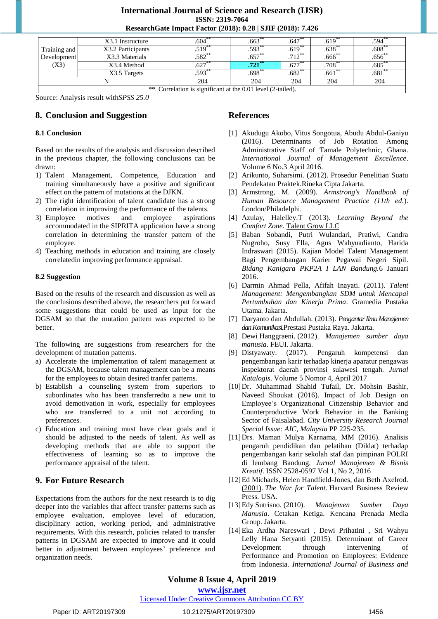|              | X3.1 Instructure  | .604        | .663                | .647      | .619        | .594      |
|--------------|-------------------|-------------|---------------------|-----------|-------------|-----------|
| Training and | X3.2 Participants | $.519***$   | .593                | $.619***$ | $.638^{**}$ | $.608**$  |
| Development  | X3.3 Materials    | $.582^{**}$ | .657                | $712**$   | .666        | .656      |
| (X3)         | X3.4 Method       | $.627***$   | $\overline{.721}^*$ | $.677***$ | $.708***$   | $.685$ ** |
|              | X3.5 Targets      | $.593***$   | $.698^{**}$         | $.682***$ | $.661***$   | .681      |
|              |                   | 204         | 204                 | 204       | 204         | 204       |

\*\*. Correlation is significant at the 0.01 level (2-tailed).

Source: Analysis result with*SPSS 25.0*

### **8. Conclusion and Suggestion**

#### **8.1 Conclusion**

Based on the results of the analysis and discussion described in the previous chapter, the following conclusions can be drawn:

- 1) Talent Management, Competence, Education and training simultaneously have a positive and significant effect on the pattern of mutations at the DJKN.
- 2) The right identification of talent candidate has a strong correlation in improving the performance of the talents.
- 3) Employee motives and employee aspirations accommodated in the SIPRITA application have a strong correlation in determining the transfer pattern of the employee.
- 4) Teaching methods in education and training are closely correlatedin improving performance appraisal.

#### **8.2 Suggestion**

Based on the results of the research and discussion as well as the conclusions described above, the researchers put forward some suggestions that could be used as input for the DGSAM so that the mutation pattern was expected to be better.

The following are suggestions from researchers for the development of mutation patterns.

- a) Accelerate the implementation of talent management at the DGSAM, because talent management can be a means for the employees to obtain desired tranfer patterns.
- b) Establish a counseling system from superiors to subordinates who has been transferredto a new unit to avoid demotivation in work, especially for employees who are transferred to a unit not according to preferences.
- c) Education and training must have clear goals and it should be adjusted to the needs of talent. As well as developing methods that are able to support the effectiveness of learning so as to improve the performance appraisal of the talent.

# **9. For Future Research**

Expectations from the authors for the next research is to dig deeper into the variables that affect transfer patterns such as employee evaluation, employee level of education, disciplinary action, working period, and administrative requirements. With this research, policies related to transfer patterns in DGSAM are expected to improve and it could better in adjustment between employees' preference and organization needs.

# **References**

- [1] Akudugu Akobo, Vitus Songotua, Abudu Abdul-Ganiyu (2016). Determinants of Job Rotation Among Administrative Staff of Tamale Polytechnic, Ghana. *International Journal of Management Excellence*. Volume 6 No.3 April 2016.
- [2] Arikunto, Suharsimi. (2012). Prosedur Penelitian Suatu Pendekatan Praktek.Rineka Cipta Jakarta.
- [3] Armstrong, M. (2009). *Armstrong's Handbook of Human Resource Management Practice (11th ed.*). London/Philadelphi.
- [4] Azulay, Halelley.T (2013). *Learning Beyond the Comfort Zone*. [Talent Grow LLC](http://www.talentgrow.com/)
- [5] Baban Sobandi, Putri Wulandari, Pratiwi, Candra Nugroho, Susy Ella, Agus Wahyuadianto, Harida Indraswari (2015). Kajian Model Talent Management Bagi Pengembangan Karier Pegawai Negeri Sipil. *Bidang Kanigara PKP2A I LAN Bandung.*6 Januari 2016.
- [6] Darmin Ahmad Pella, Afifah Inayati. (2011). *Talent Management: Mengembangkan SDM untuk Mencapai Pertumbuhan dan Kinerja Prima*. Gramedia Pustaka Utama. Jakarta.
- [7] Daryanto dan Abdullah. (2013). *PengantarIlmuManajemen danKomunikasi.*Prestasi Pustaka Raya. Jakarta.
- [8] Dewi Hanggraeni. (2012). *Manajemen sumber daya manusia*. FEUI. Jakarta.
- [9] Distyawaty. (2017). Pengaruh kompetensi dan pengembangan karir terhadap kinerja aparatur pengawas inspektorat daerah provinsi sulawesi tengah. *Jurnal Katalogis*. Volume 5 Nomor 4, April 2017
- [10]Dr. Muhammad Shahid Tufail, Dr. Mohsin Bashir, Naveed Shoukat (2016). Impact of Job Design on Employee's Organizational Citizenship Behavior and Counterproductive Work Behavior in the Banking Sector of Faisalabad. *City University Research Journal Special Issue: AIC, Malaysia* PP 225-235.
- [11]Drs. Maman Mulya Karnama, MM (2016). Analisis pengaruh pendidikan dan pelatihan (Diklat) terhadap pengembangan karir sekolah staf dan pimpinan POLRI di lembang Bandung. *Jurnal Manajemen & Bisnis Kreatif*. ISSN 2528-0597 Vol 1, No 2, 2016
- [12] Ed Michaels, [Helen Handfield-Jones,](https://id.wikipedia.org/w/index.php?title=Helen_Handfield-Jones&action=edit&redlink=1) dan [Beth Axelrod.](https://id.wikipedia.org/w/index.php?title=Beth_Axelrod&action=edit&redlink=1) (2001). *The War for Talent*. Harvard Business Review Press. USA.
- [13]Edy Sutrisno. (2010). *Manajemen Sumber Daya Manusia*. Cetakan Ketiga. Kencana Prenada Media Group. Jakarta.
- [14]Eka Ardha Nareswari , Dewi Prihatini , Sri Wahyu Lelly Hana Setyanti (2015). Determinant of Career Development through Intervening of Performance and Promotion on Employees: Evidence from Indonesia. *International Journal of Business and*

# **Volume 8 Issue 4, April 2019**

**www.ijsr.net**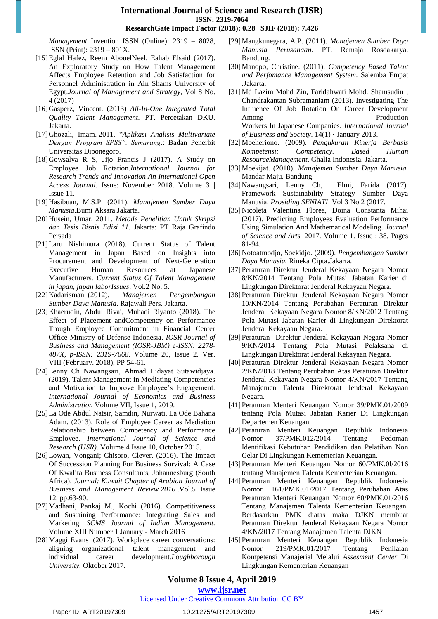*Management* Invention ISSN (Online): 2319 – 8028, ISSN (Print): 2319 – 801X.

- [15]Eglal Hafez, Reem AbouelNeel, Eahab Elsaid (2017). An Exploratory Study on How Talent Management Affects Employee Retention and Job Satisfaction for Personnel Administration in Ain Shams University of Egypt.*Journal of Management and Strategy,* Vol 8 No. 4 (2017)
- [16]Gasperz, Vincent. (2013) *All-In-One Integrated Total Quality Talent Management*. PT. Percetakan DKU. Jakarta.
- [17]Ghozali, Imam. 2011. "*Aplikasi Analisis Multivariate Dengan Program SPSS". Semarang*.: Badan Penerbit Universitas Diponegoro.
- [18]Gowsalya R S, Jijo Francis J (2017). A Study on Employee Job Rotation.*International Journal for Research Trends and Innovation An International Open Access Journal*. Issue: November 2018. Volume 3 | Issue 11.
- [19]Hasibuan, M.S.P. (2011). *Manajemen Sumber Daya Manusia*.Bumi Aksara.Jakarta.
- [20]Husein, Umar. 2011. *Metode Penelitian Untuk Skripsi dan Tesis Bisnis Edisi 11.* Jakarta: PT Raja Grafindo Persada
- [21]Itaru Nishimura (2018). Current Status of Talent Management in Japan Based on Insights into Procurement and Development of Next-Generation Executive Human Resources at Japanese Manufacturers. *Current Status Of Talent Management in japan, japan laborIssues*. Vol.2 No. 5.
- [22]Kadarisman. (2012). *Manajemen Pengembangan Sumber Daya Manusia*. Rajawali Pers. Jakarta.
- [23]Khaerudin, Abdul Rivai, Muhadi Riyanto (2018). The Effect of Placement andCompetency on Performance Trough Employee Commitment in Financial Center Office Ministry of Defense Indonesia. *IOSR Journal of Business and Management (IOSR-JBM) e-ISSN: 2278- 487X, p-ISSN: 2319-7668*. Volume 20, Issue 2. Ver. VIII (February. 2018), PP 54-61.
- [24]Lenny Ch Nawangsari, Ahmad Hidayat Sutawidjaya. (2019). Talent Management in Mediating Competencies and Motivation to Improve Employee's Engagement. *International Journal of Economics and Business Administration* Volume VII, Issue 1, 2019.
- [25]La Ode Abdul Natsir, Samdin, Nurwati, La Ode Bahana Adam. (2013). Role of Employee Career as Mediation Relationship between Competency and Performance Employee. *International Journal of Science and Research (IJSR).* Volume 4 Issue 10, October 2015.
- [26] Lowan, Vongani; Chisoro, Clever. (2016). The Impact Of Succession Planning For Business Survival: A Case Of Kwalita Business Consultants, Johannesburg (South Africa). *Journal: Kuwait Chapter of Arabian Journal of Business and Management Review 2016* .Vol.5 Issue 12, pp.63-90.
- [27]Madhani, Pankaj M., Kochi (2016). Competitiveness and Sustaining Performance: Integrating Sales and Marketing. *SCMS Journal of Indian Management.*  Volume XIII Number 1 January - March 2016
- [28]Maggi Evans .(2017). Workplace career conversations: aligning organizational talent management and individual career development.*Loughborough University.* Oktober 2017.
- [29]Mangkunegara, A.P. (2011). *Manajemen Sumber Daya Manusia Perusahaan.* PT. Remaja Rosdakarya. Bandung.
- [30]Manopo, Christine. (2011). *Competency Based Talent and Perfomance Management System*. Salemba Empat .Jakarta.
- [31]Md Lazim Mohd Zin, Faridahwati Mohd. Shamsudin , Chandrakantan Subramaniam (2013). Investigating The Influence Of Job Rotation On Career Development Among Production Workers In Japanese Companies. *International Journal of Business and Society*. 14(1) · January 2013.
- [32]Moeheriono. (2009). *Pengukuran Kinerja Berbasis Kompetensi: Competency. Based Human ResourceManagement*. Ghalia Indonesia. Jakarta.
- [33]Moekijat. (2010)*. Manajemen Sumber Daya Manusia.*  Mandar Maju. Bandung.
- [34]Nawangsari, Lenny Ch, Elmi, Farida (2017). Framework Sustainability Strategy Sumber Daya Manusia. *Prosiding SENIATI*. Vol 3 No 2 (2017.
- [35]Nicoleta Valentina Florea, Doina Constanta Mihai (2017). Predicting Employees Evaluation Performance Using Simulation And Mathematical Modeling. *Journal of Science and Arts.* 2017. Volume 1. Issue : 38, Pages 81-94.
- [36]Notoatmodjo, Soekidjo. (2009). *Pengembangan Sumber Daya Manusia.* Rineka Cipta.Jakarta.
- [37]Peraturan Direktur Jenderal Kekayaan Negara Nomor 8/KN/2014 Tentang Pola Mutasi Jabatan Karier di Lingkungan Direktorat Jenderal Kekayaan Negara.
- [38]Peraturan Direktur Jenderal Kekayaan Negara Nomor 10/KN/2014 Tentang Perubahan Peraturan Direktur Jenderal Kekayaan Negara Nomor 8/KN/2012 Tentang Pola Mutasi Jabatan Karier di Lingkungan Direktorat Jenderal Kekayaan Negara.
- [39]Peraturan Direktur Jenderal Kekayaan Negara Nomor 9/KN/2014 Tentang Pola Mutasi Pelaksana di Lingkungan Direktorat Jenderal Kekayaan Negara.
- [40]Peraturan Direktur Jenderal Kekayaan Negara Nomor 2/KN/2018 Tentang Perubahan Atas Peraturan Direktur Jenderal Kekayaan Negara Nomor 4/KN/2017 Tentang Manajemen Talenta Direktorat Jenderal Kekayaan Negara.
- [41]Peraturan Menteri Keuangan Nomor 39/PMK.01/2009 tentang Pola Mutasi Jabatan Karier Di Lingkungan Departemen Keuangan.
- [42]Peraturan Menteri Keuangan Republik Indonesia Nomor 37/PMK.012/2014 Tentang Pedoman Identifikasi Kebutuhan Pendidikan dan Pelatihan Non Gelar Di Lingkungan Kementerian Keuangan.
- [43]Peraturan Menteri Keuangan Nomor 60/PMK.0l/2016 tentang Manajemen Talenta Kementerian Keuangan.
- [44]Peraturan Menteri Keuangan Republik Indonesia Nomor 161/PMK.01/2017 Tentang Perubahan Atas Peraturan Menteri Keuangan Nomor 60/PMK.01/2016 Tentang Manajemen Talenta Kementerian Keuangan. Berdasarkan PMK diatas maka DJKN membuat Peraturan Direktur Jenderal Kekayaan Negara Nomor 4/KN/2017 Tentang Manajemen Talenta DJKN
- [45]Peraturan Menteri Keuangan Republik Indonesia Nomor 219/PMK.01/2017 Tentang Penilaian Kompetensi Manajerial Melalui *Assesment Center* Di Lingkungan Kementerian Keuangan

# **Volume 8 Issue 4, April 2019**

#### **www.ijsr.net**